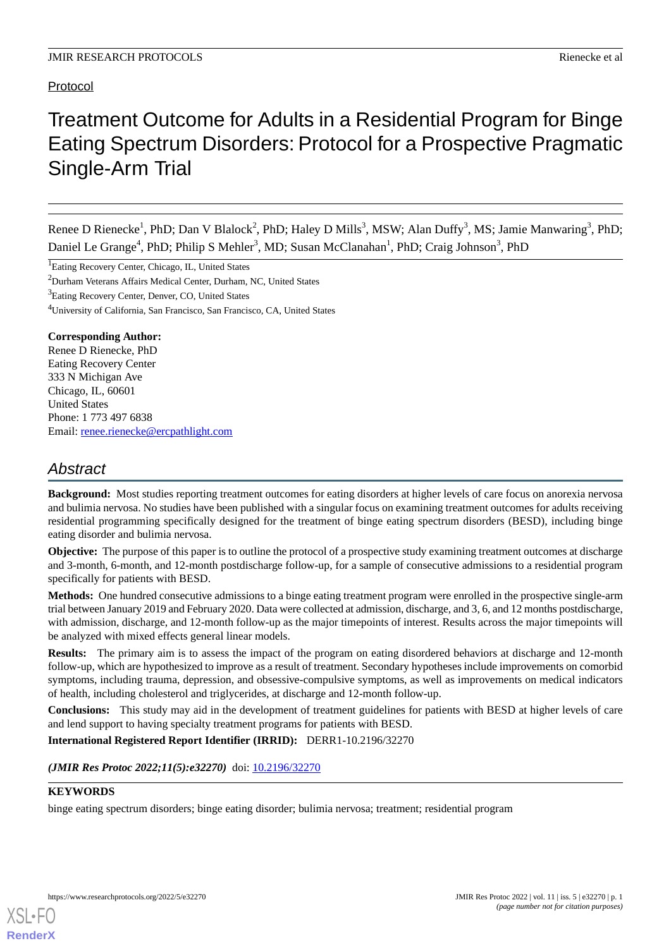# Protocol

# Treatment Outcome for Adults in a Residential Program for Binge Eating Spectrum Disorders: Protocol for a Prospective Pragmatic Single-Arm Trial

Renee D Rienecke<sup>1</sup>, PhD; Dan V Blalock<sup>2</sup>, PhD; Haley D Mills<sup>3</sup>, MSW; Alan Duffy<sup>3</sup>, MS; Jamie Manwaring<sup>3</sup>, PhD; Daniel Le Grange<sup>4</sup>, PhD; Philip S Mehler<sup>3</sup>, MD; Susan McClanahan<sup>1</sup>, PhD; Craig Johnson<sup>3</sup>, PhD

<sup>1</sup>Eating Recovery Center, Chicago, IL, United States

<sup>2</sup>Durham Veterans Affairs Medical Center, Durham, NC, United States

<sup>3</sup>Eating Recovery Center, Denver, CO, United States

<sup>4</sup>University of California, San Francisco, San Francisco, CA, United States

#### **Corresponding Author:**

Renee D Rienecke, PhD Eating Recovery Center 333 N Michigan Ave Chicago, IL, 60601 United States Phone: 1 773 497 6838 Email: [renee.rienecke@ercpathlight.com](mailto:renee.rienecke@ercpathlight.com)

# *Abstract*

**Background:** Most studies reporting treatment outcomes for eating disorders at higher levels of care focus on anorexia nervosa and bulimia nervosa. No studies have been published with a singular focus on examining treatment outcomes for adults receiving residential programming specifically designed for the treatment of binge eating spectrum disorders (BESD), including binge eating disorder and bulimia nervosa.

**Objective:** The purpose of this paper is to outline the protocol of a prospective study examining treatment outcomes at discharge and 3-month, 6-month, and 12-month postdischarge follow-up, for a sample of consecutive admissions to a residential program specifically for patients with BESD.

**Methods:** One hundred consecutive admissions to a binge eating treatment program were enrolled in the prospective single-arm trial between January 2019 and February 2020. Data were collected at admission, discharge, and 3, 6, and 12 months postdischarge, with admission, discharge, and 12-month follow-up as the major timepoints of interest. Results across the major timepoints will be analyzed with mixed effects general linear models.

**Results:** The primary aim is to assess the impact of the program on eating disordered behaviors at discharge and 12-month follow-up, which are hypothesized to improve as a result of treatment. Secondary hypotheses include improvements on comorbid symptoms, including trauma, depression, and obsessive-compulsive symptoms, as well as improvements on medical indicators of health, including cholesterol and triglycerides, at discharge and 12-month follow-up.

**Conclusions:** This study may aid in the development of treatment guidelines for patients with BESD at higher levels of care and lend support to having specialty treatment programs for patients with BESD.

**International Registered Report Identifier (IRRID):** DERR1-10.2196/32270

(JMIR Res Protoc 2022;11(5):e32270) doi: [10.2196/32270](http://dx.doi.org/10.2196/32270)

### **KEYWORDS**

[XSL](http://www.w3.org/Style/XSL)•FO **[RenderX](http://www.renderx.com/)**

binge eating spectrum disorders; binge eating disorder; bulimia nervosa; treatment; residential program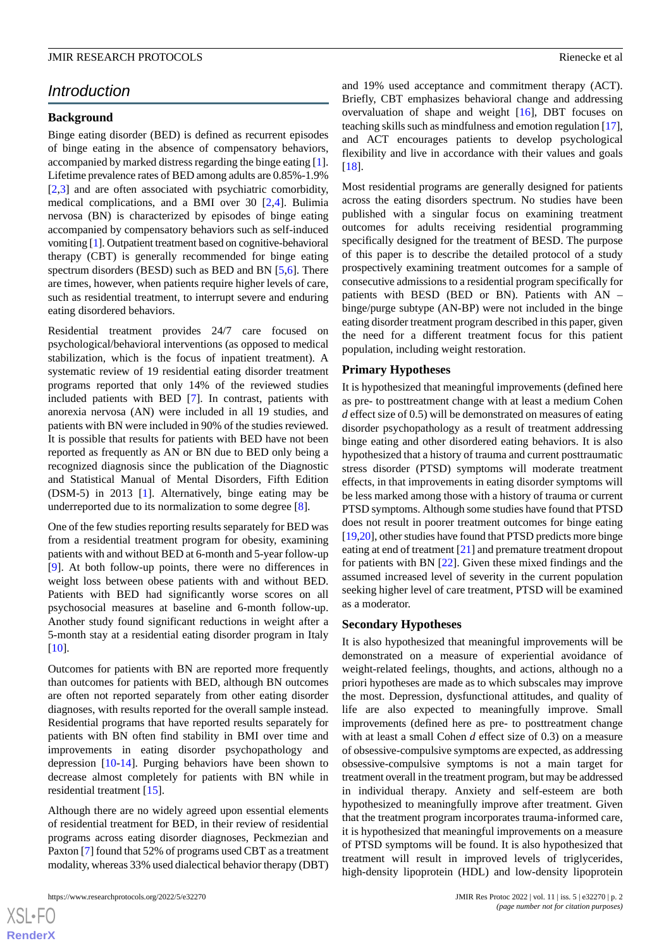#### **JMIR RESEARCH PROTOCOLS Rienecke et al. Rienecke et al. Rienecke et al. Rienecke et al. Rienecke et al. Rienecke et al. Rienecke et al. Rienecke et al. Rienecke et al. Rienecke et al. Rienecke et al.**

# *Introduction*

#### **Background**

Binge eating disorder (BED) is defined as recurrent episodes of binge eating in the absence of compensatory behaviors, accompanied by marked distress regarding the binge eating [[1\]](#page-5-0). Lifetime prevalence rates of BED among adults are 0.85%-1.9% [[2](#page-5-1)[,3](#page-5-2)] and are often associated with psychiatric comorbidity, medical complications, and a BMI over 30 [\[2](#page-5-1),[4\]](#page-5-3). Bulimia nervosa (BN) is characterized by episodes of binge eating accompanied by compensatory behaviors such as self-induced vomiting [\[1](#page-5-0)]. Outpatient treatment based on cognitive-behavioral therapy (CBT) is generally recommended for binge eating spectrum disorders (BESD) such as BED and BN [\[5](#page-6-0),[6\]](#page-6-1). There are times, however, when patients require higher levels of care, such as residential treatment, to interrupt severe and enduring eating disordered behaviors.

Residential treatment provides 24/7 care focused on psychological/behavioral interventions (as opposed to medical stabilization, which is the focus of inpatient treatment). A systematic review of 19 residential eating disorder treatment programs reported that only 14% of the reviewed studies included patients with BED [\[7](#page-6-2)]. In contrast, patients with anorexia nervosa (AN) were included in all 19 studies, and patients with BN were included in 90% of the studies reviewed. It is possible that results for patients with BED have not been reported as frequently as AN or BN due to BED only being a recognized diagnosis since the publication of the Diagnostic and Statistical Manual of Mental Disorders, Fifth Edition (DSM-5) in 2013 [\[1](#page-5-0)]. Alternatively, binge eating may be underreported due to its normalization to some degree [\[8\]](#page-6-3).

One of the few studies reporting results separately for BED was from a residential treatment program for obesity, examining patients with and without BED at 6-month and 5-year follow-up [[9\]](#page-6-4). At both follow-up points, there were no differences in weight loss between obese patients with and without BED. Patients with BED had significantly worse scores on all psychosocial measures at baseline and 6-month follow-up. Another study found significant reductions in weight after a 5-month stay at a residential eating disorder program in Italy  $[10]$  $[10]$ .

Outcomes for patients with BN are reported more frequently than outcomes for patients with BED, although BN outcomes are often not reported separately from other eating disorder diagnoses, with results reported for the overall sample instead. Residential programs that have reported results separately for patients with BN often find stability in BMI over time and improvements in eating disorder psychopathology and depression [\[10](#page-6-5)-[14\]](#page-6-6). Purging behaviors have been shown to decrease almost completely for patients with BN while in residential treatment [\[15](#page-6-7)].

Although there are no widely agreed upon essential elements of residential treatment for BED, in their review of residential programs across eating disorder diagnoses, Peckmezian and Paxton [\[7](#page-6-2)] found that 52% of programs used CBT as a treatment modality, whereas 33% used dialectical behavior therapy (DBT)

and 19% used acceptance and commitment therapy (ACT). Briefly, CBT emphasizes behavioral change and addressing overvaluation of shape and weight [[16\]](#page-6-8), DBT focuses on teaching skills such as mindfulness and emotion regulation [\[17](#page-6-9)], and ACT encourages patients to develop psychological flexibility and live in accordance with their values and goals [[18\]](#page-6-10).

Most residential programs are generally designed for patients across the eating disorders spectrum. No studies have been published with a singular focus on examining treatment outcomes for adults receiving residential programming specifically designed for the treatment of BESD. The purpose of this paper is to describe the detailed protocol of a study prospectively examining treatment outcomes for a sample of consecutive admissions to a residential program specifically for patients with BESD (BED or BN). Patients with AN – binge/purge subtype (AN-BP) were not included in the binge eating disorder treatment program described in this paper, given the need for a different treatment focus for this patient population, including weight restoration.

#### **Primary Hypotheses**

It is hypothesized that meaningful improvements (defined here as pre- to posttreatment change with at least a medium Cohen *d* effect size of 0.5) will be demonstrated on measures of eating disorder psychopathology as a result of treatment addressing binge eating and other disordered eating behaviors. It is also hypothesized that a history of trauma and current posttraumatic stress disorder (PTSD) symptoms will moderate treatment effects, in that improvements in eating disorder symptoms will be less marked among those with a history of trauma or current PTSD symptoms. Although some studies have found that PTSD does not result in poorer treatment outcomes for binge eating [[19,](#page-6-11)[20](#page-6-12)], other studies have found that PTSD predicts more binge eating at end of treatment [\[21](#page-6-13)] and premature treatment dropout for patients with BN [\[22](#page-6-14)]. Given these mixed findings and the assumed increased level of severity in the current population seeking higher level of care treatment, PTSD will be examined as a moderator.

#### **Secondary Hypotheses**

It is also hypothesized that meaningful improvements will be demonstrated on a measure of experiential avoidance of weight-related feelings, thoughts, and actions, although no a priori hypotheses are made as to which subscales may improve the most. Depression, dysfunctional attitudes, and quality of life are also expected to meaningfully improve. Small improvements (defined here as pre- to posttreatment change with at least a small Cohen *d* effect size of 0.3) on a measure of obsessive-compulsive symptoms are expected, as addressing obsessive-compulsive symptoms is not a main target for treatment overall in the treatment program, but may be addressed in individual therapy. Anxiety and self-esteem are both hypothesized to meaningfully improve after treatment. Given that the treatment program incorporates trauma-informed care, it is hypothesized that meaningful improvements on a measure of PTSD symptoms will be found. It is also hypothesized that treatment will result in improved levels of triglycerides, high-density lipoprotein (HDL) and low-density lipoprotein

 $XS$  $\cdot$ FC **[RenderX](http://www.renderx.com/)**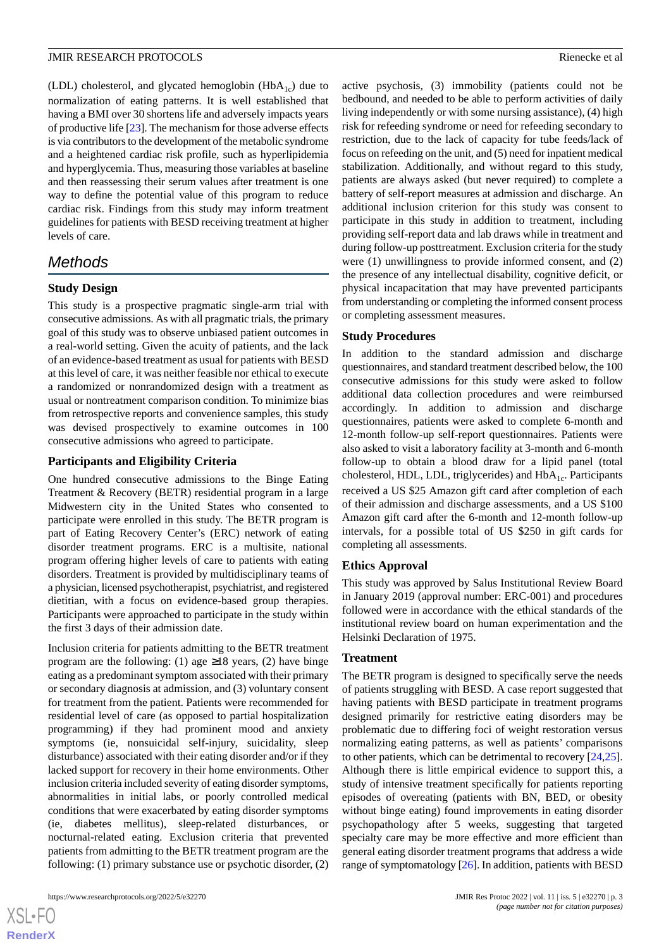(LDL) cholesterol, and glycated hemoglobin (Hb $A_{1c}$ ) due to normalization of eating patterns. It is well established that having a BMI over 30 shortens life and adversely impacts years of productive life [\[23\]](#page-6-15). The mechanism for those adverse effects is via contributors to the development of the metabolic syndrome and a heightened cardiac risk profile, such as hyperlipidemia and hyperglycemia. Thus, measuring those variables at baseline and then reassessing their serum values after treatment is one way to define the potential value of this program to reduce cardiac risk. Findings from this study may inform treatment guidelines for patients with BESD receiving treatment at higher levels of care.

# *Methods*

# **Study Design**

This study is a prospective pragmatic single-arm trial with consecutive admissions. As with all pragmatic trials, the primary goal of this study was to observe unbiased patient outcomes in a real-world setting. Given the acuity of patients, and the lack of an evidence-based treatment as usual for patients with BESD at this level of care, it was neither feasible nor ethical to execute a randomized or nonrandomized design with a treatment as usual or nontreatment comparison condition. To minimize bias from retrospective reports and convenience samples, this study was devised prospectively to examine outcomes in 100 consecutive admissions who agreed to participate.

# **Participants and Eligibility Criteria**

One hundred consecutive admissions to the Binge Eating Treatment & Recovery (BETR) residential program in a large Midwestern city in the United States who consented to participate were enrolled in this study. The BETR program is part of Eating Recovery Center's (ERC) network of eating disorder treatment programs. ERC is a multisite, national program offering higher levels of care to patients with eating disorders. Treatment is provided by multidisciplinary teams of a physician, licensed psychotherapist, psychiatrist, and registered dietitian, with a focus on evidence-based group therapies. Participants were approached to participate in the study within the first 3 days of their admission date.

Inclusion criteria for patients admitting to the BETR treatment program are the following: (1) age  $\geq$ 18 years, (2) have binge eating as a predominant symptom associated with their primary or secondary diagnosis at admission, and (3) voluntary consent for treatment from the patient. Patients were recommended for residential level of care (as opposed to partial hospitalization programming) if they had prominent mood and anxiety symptoms (ie, nonsuicidal self-injury, suicidality, sleep disturbance) associated with their eating disorder and/or if they lacked support for recovery in their home environments. Other inclusion criteria included severity of eating disorder symptoms, abnormalities in initial labs, or poorly controlled medical conditions that were exacerbated by eating disorder symptoms (ie, diabetes mellitus), sleep-related disturbances, or nocturnal-related eating. Exclusion criteria that prevented patients from admitting to the BETR treatment program are the following: (1) primary substance use or psychotic disorder, (2)

 $XS$  $\cdot$ FC **[RenderX](http://www.renderx.com/)** active psychosis, (3) immobility (patients could not be bedbound, and needed to be able to perform activities of daily living independently or with some nursing assistance), (4) high risk for refeeding syndrome or need for refeeding secondary to restriction, due to the lack of capacity for tube feeds/lack of focus on refeeding on the unit, and (5) need for inpatient medical stabilization. Additionally, and without regard to this study, patients are always asked (but never required) to complete a battery of self-report measures at admission and discharge. An additional inclusion criterion for this study was consent to participate in this study in addition to treatment, including providing self-report data and lab draws while in treatment and during follow-up posttreatment. Exclusion criteria for the study were (1) unwillingness to provide informed consent, and (2) the presence of any intellectual disability, cognitive deficit, or physical incapacitation that may have prevented participants from understanding or completing the informed consent process or completing assessment measures.

# **Study Procedures**

In addition to the standard admission and discharge questionnaires, and standard treatment described below, the 100 consecutive admissions for this study were asked to follow additional data collection procedures and were reimbursed accordingly. In addition to admission and discharge questionnaires, patients were asked to complete 6-month and 12-month follow-up self-report questionnaires. Patients were also asked to visit a laboratory facility at 3-month and 6-month follow-up to obtain a blood draw for a lipid panel (total cholesterol, HDL, LDL, triglycerides) and  $HbA<sub>1c</sub>$ . Participants received a US \$25 Amazon gift card after completion of each of their admission and discharge assessments, and a US \$100 Amazon gift card after the 6-month and 12-month follow-up intervals, for a possible total of US \$250 in gift cards for completing all assessments.

# **Ethics Approval**

This study was approved by Salus Institutional Review Board in January 2019 (approval number: ERC-001) and procedures followed were in accordance with the ethical standards of the institutional review board on human experimentation and the Helsinki Declaration of 1975.

#### **Treatment**

The BETR program is designed to specifically serve the needs of patients struggling with BESD. A case report suggested that having patients with BESD participate in treatment programs designed primarily for restrictive eating disorders may be problematic due to differing foci of weight restoration versus normalizing eating patterns, as well as patients' comparisons to other patients, which can be detrimental to recovery [\[24](#page-6-16),[25\]](#page-6-17). Although there is little empirical evidence to support this, a study of intensive treatment specifically for patients reporting episodes of overeating (patients with BN, BED, or obesity without binge eating) found improvements in eating disorder psychopathology after 5 weeks, suggesting that targeted specialty care may be more effective and more efficient than general eating disorder treatment programs that address a wide range of symptomatology [\[26\]](#page-6-18). In addition, patients with BESD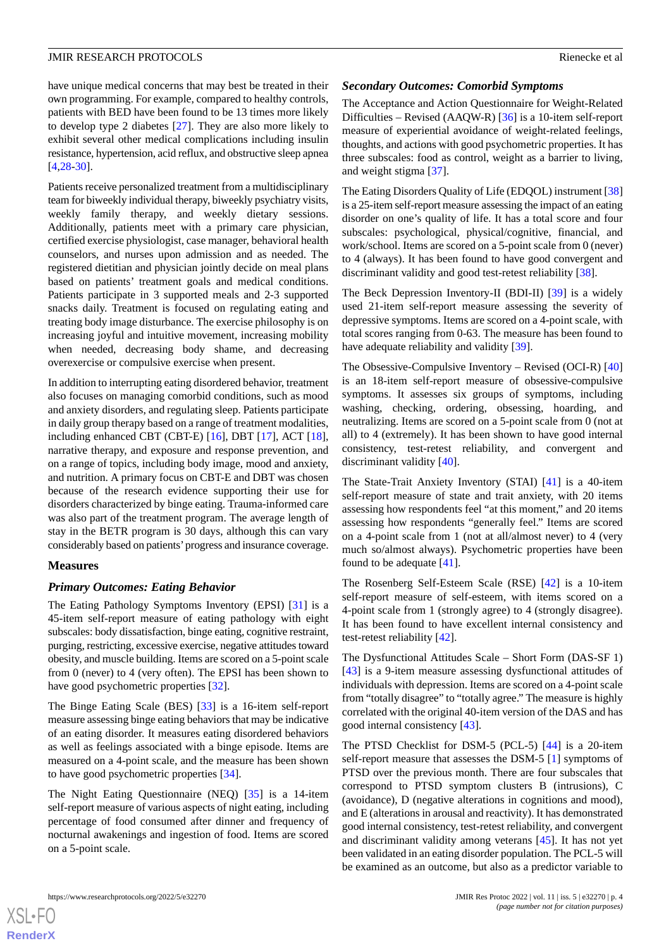have unique medical concerns that may best be treated in their own programming. For example, compared to healthy controls, patients with BED have been found to be 13 times more likely to develop type 2 diabetes [\[27](#page-6-19)]. They are also more likely to exhibit several other medical complications including insulin resistance, hypertension, acid reflux, and obstructive sleep apnea [[4](#page-5-3)[,28](#page-7-0)-[30\]](#page-7-1).

Patients receive personalized treatment from a multidisciplinary team for biweekly individual therapy, biweekly psychiatry visits, weekly family therapy, and weekly dietary sessions. Additionally, patients meet with a primary care physician, certified exercise physiologist, case manager, behavioral health counselors, and nurses upon admission and as needed. The registered dietitian and physician jointly decide on meal plans based on patients' treatment goals and medical conditions. Patients participate in 3 supported meals and 2-3 supported snacks daily. Treatment is focused on regulating eating and treating body image disturbance. The exercise philosophy is on increasing joyful and intuitive movement, increasing mobility when needed, decreasing body shame, and decreasing overexercise or compulsive exercise when present.

In addition to interrupting eating disordered behavior, treatment also focuses on managing comorbid conditions, such as mood and anxiety disorders, and regulating sleep. Patients participate in daily group therapy based on a range of treatment modalities, including enhanced CBT (CBT-E) [[16\]](#page-6-8), DBT [\[17](#page-6-9)], ACT [[18\]](#page-6-10), narrative therapy, and exposure and response prevention, and on a range of topics, including body image, mood and anxiety, and nutrition. A primary focus on CBT-E and DBT was chosen because of the research evidence supporting their use for disorders characterized by binge eating. Trauma-informed care was also part of the treatment program. The average length of stay in the BETR program is 30 days, although this can vary considerably based on patients'progress and insurance coverage.

#### **Measures**

#### *Primary Outcomes: Eating Behavior*

The Eating Pathology Symptoms Inventory (EPSI) [[31\]](#page-7-2) is a 45-item self-report measure of eating pathology with eight subscales: body dissatisfaction, binge eating, cognitive restraint, purging, restricting, excessive exercise, negative attitudes toward obesity, and muscle building. Items are scored on a 5-point scale from 0 (never) to 4 (very often). The EPSI has been shown to have good psychometric properties [\[32](#page-7-3)].

The Binge Eating Scale (BES) [\[33](#page-7-4)] is a 16-item self-report measure assessing binge eating behaviors that may be indicative of an eating disorder. It measures eating disordered behaviors as well as feelings associated with a binge episode. Items are measured on a 4-point scale, and the measure has been shown to have good psychometric properties [\[34](#page-7-5)].

The Night Eating Questionnaire (NEQ) [\[35](#page-7-6)] is a 14-item self-report measure of various aspects of night eating, including percentage of food consumed after dinner and frequency of nocturnal awakenings and ingestion of food. Items are scored on a 5-point scale.

#### *Secondary Outcomes: Comorbid Symptoms*

The Acceptance and Action Questionnaire for Weight-Related Difficulties – Revised (AAQW-R) [[36\]](#page-7-7) is a 10-item self-report measure of experiential avoidance of weight-related feelings, thoughts, and actions with good psychometric properties. It has three subscales: food as control, weight as a barrier to living, and weight stigma [[37\]](#page-7-8).

The Eating Disorders Quality of Life (EDQOL) instrument [[38\]](#page-7-9) is a 25-item self-report measure assessing the impact of an eating disorder on one's quality of life. It has a total score and four subscales: psychological, physical/cognitive, financial, and work/school. Items are scored on a 5-point scale from 0 (never) to 4 (always). It has been found to have good convergent and discriminant validity and good test-retest reliability [\[38](#page-7-9)].

The Beck Depression Inventory-II (BDI-II) [[39\]](#page-7-10) is a widely used 21-item self-report measure assessing the severity of depressive symptoms. Items are scored on a 4-point scale, with total scores ranging from 0-63. The measure has been found to have adequate reliability and validity [\[39](#page-7-10)].

The Obsessive-Compulsive Inventory – Revised (OCI-R) [\[40](#page-7-11)] is an 18-item self-report measure of obsessive-compulsive symptoms. It assesses six groups of symptoms, including washing, checking, ordering, obsessing, hoarding, and neutralizing. Items are scored on a 5-point scale from 0 (not at all) to 4 (extremely). It has been shown to have good internal consistency, test-retest reliability, and convergent and discriminant validity [\[40](#page-7-11)].

The State-Trait Anxiety Inventory (STAI) [\[41](#page-7-12)] is a 40-item self-report measure of state and trait anxiety, with 20 items assessing how respondents feel "at this moment," and 20 items assessing how respondents "generally feel." Items are scored on a 4-point scale from 1 (not at all/almost never) to 4 (very much so/almost always). Psychometric properties have been found to be adequate [\[41](#page-7-12)].

The Rosenberg Self-Esteem Scale (RSE) [[42\]](#page-7-13) is a 10-item self-report measure of self-esteem, with items scored on a 4-point scale from 1 (strongly agree) to 4 (strongly disagree). It has been found to have excellent internal consistency and test-retest reliability [[42\]](#page-7-13).

The Dysfunctional Attitudes Scale – Short Form (DAS-SF 1) [[43\]](#page-7-14) is a 9-item measure assessing dysfunctional attitudes of individuals with depression. Items are scored on a 4-point scale from "totally disagree" to "totally agree." The measure is highly correlated with the original 40-item version of the DAS and has good internal consistency [[43\]](#page-7-14).

The PTSD Checklist for DSM-5 (PCL-5) [[44\]](#page-7-15) is a 20-item self-report measure that assesses the DSM-5 [\[1](#page-5-0)] symptoms of PTSD over the previous month. There are four subscales that correspond to PTSD symptom clusters B (intrusions), C (avoidance), D (negative alterations in cognitions and mood), and E (alterations in arousal and reactivity). It has demonstrated good internal consistency, test-retest reliability, and convergent and discriminant validity among veterans [[45\]](#page-7-16). It has not yet been validated in an eating disorder population. The PCL-5 will be examined as an outcome, but also as a predictor variable to

 $XS$  $\cdot$ FC **[RenderX](http://www.renderx.com/)**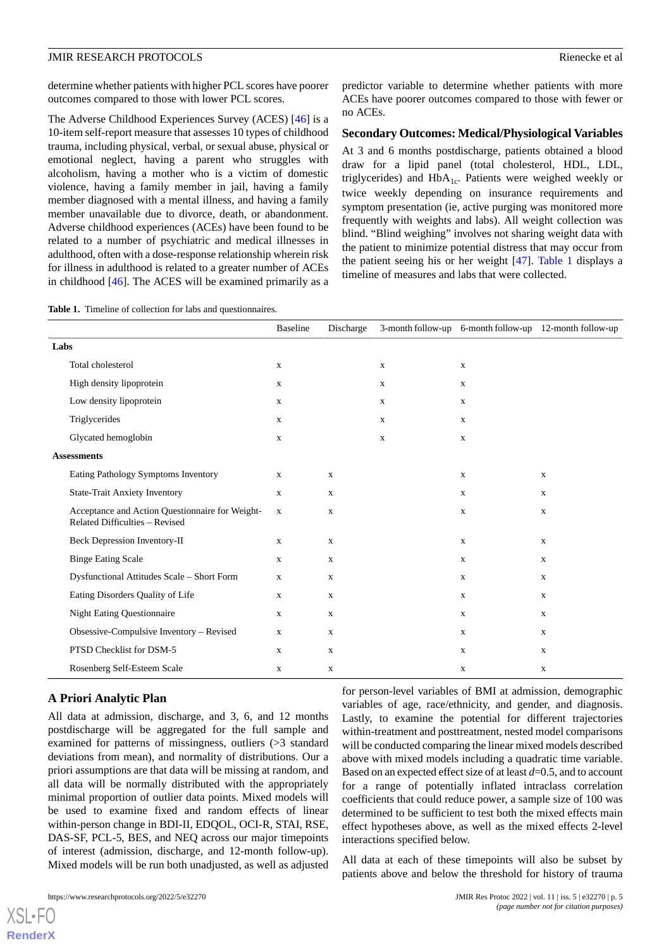determine whether patients with higher PCL scores have poorer outcomes compared to those with lower PCL scores.

The Adverse Childhood Experiences Survey (ACES) [[46\]](#page-7-17) is a 10-item self-report measure that assesses 10 types of childhood trauma, including physical, verbal, or sexual abuse, physical or emotional neglect, having a parent who struggles with alcoholism, having a mother who is a victim of domestic violence, having a family member in jail, having a family member diagnosed with a mental illness, and having a family member unavailable due to divorce, death, or abandonment. Adverse childhood experiences (ACEs) have been found to be related to a number of psychiatric and medical illnesses in adulthood, often with a dose-response relationship wherein risk for illness in adulthood is related to a greater number of ACEs in childhood [\[46](#page-7-17)]. The ACES will be examined primarily as a predictor variable to determine whether patients with more ACEs have poorer outcomes compared to those with fewer or no ACEs.

#### **Secondary Outcomes: Medical/Physiological Variables**

At 3 and 6 months postdischarge, patients obtained a blood draw for a lipid panel (total cholesterol, HDL, LDL, triglycerides) and  $HbA_{1c}$ . Patients were weighed weekly or twice weekly depending on insurance requirements and symptom presentation (ie, active purging was monitored more frequently with weights and labs). All weight collection was blind. "Blind weighing" involves not sharing weight data with the patient to minimize potential distress that may occur from the patient seeing his or her weight [[47\]](#page-7-18). [Table 1](#page-4-0) displays a timeline of measures and labs that were collected.

<span id="page-4-0"></span>**Table 1.** Timeline of collection for labs and questionnaires.

|                                                                                   | <b>Baseline</b> | Discharge    |             |             | 3-month follow-up 6-month follow-up 12-month follow-up |
|-----------------------------------------------------------------------------------|-----------------|--------------|-------------|-------------|--------------------------------------------------------|
| Labs                                                                              |                 |              |             |             |                                                        |
| Total cholesterol                                                                 | $\mathbf X$     |              | $\mathbf X$ | $\mathbf X$ |                                                        |
| High density lipoprotein                                                          | X               |              | $\mathbf X$ | $\mathbf X$ |                                                        |
| Low density lipoprotein                                                           | X               |              | $\mathbf X$ | $\mathbf X$ |                                                        |
| Triglycerides                                                                     | $\mathbf X$     |              | $\mathbf X$ | $\mathbf X$ |                                                        |
| Glycated hemoglobin                                                               | $\mathbf X$     |              | $\mathbf X$ | $\mathbf X$ |                                                        |
| <b>Assessments</b>                                                                |                 |              |             |             |                                                        |
| Eating Pathology Symptoms Inventory                                               | $\mathbf{x}$    | $\mathbf{x}$ |             | $\mathbf x$ | $\mathbf X$                                            |
| <b>State-Trait Anxiety Inventory</b>                                              | $\mathbf X$     | $\mathbf X$  |             | $\mathbf X$ | $\mathbf X$                                            |
| Acceptance and Action Questionnaire for Weight-<br>Related Difficulties - Revised | $\mathbf{X}$    | $\mathbf X$  |             | $\mathbf X$ | $\mathbf X$                                            |
| <b>Beck Depression Inventory-II</b>                                               | X               | $\mathbf X$  |             | $\mathbf X$ | X                                                      |
| <b>Binge Eating Scale</b>                                                         | X               | $\mathbf x$  |             | $\mathbf X$ | X                                                      |
| Dysfunctional Attitudes Scale - Short Form                                        | $\mathbf X$     | $\mathbf X$  |             | $\mathbf X$ | $\mathbf X$                                            |
| Eating Disorders Quality of Life                                                  | $\mathbf X$     | $\mathbf X$  |             | $\mathbf X$ | $\mathbf X$                                            |
| <b>Night Eating Questionnaire</b>                                                 | $\mathbf X$     | $\mathbf X$  |             | $\mathbf X$ | $\mathbf X$                                            |
| Obsessive-Compulsive Inventory - Revised                                          | $\mathbf X$     | $\mathbf{x}$ |             | $\mathbf X$ | $\mathbf X$                                            |
| PTSD Checklist for DSM-5                                                          | $\mathbf X$     | $\mathbf X$  |             | $\mathbf X$ | $\mathbf X$                                            |
| Rosenberg Self-Esteem Scale                                                       | $\mathbf X$     | $\mathbf X$  |             | $\mathbf X$ | $\mathbf X$                                            |

#### **A Priori Analytic Plan**

All data at admission, discharge, and 3, 6, and 12 months postdischarge will be aggregated for the full sample and examined for patterns of missingness, outliers (>3 standard deviations from mean), and normality of distributions. Our a priori assumptions are that data will be missing at random, and all data will be normally distributed with the appropriately minimal proportion of outlier data points. Mixed models will be used to examine fixed and random effects of linear within-person change in BDI-II, EDQOL, OCI-R, STAI, RSE, DAS-SF, PCL-5, BES, and NEQ across our major timepoints of interest (admission, discharge, and 12-month follow-up). Mixed models will be run both unadjusted, as well as adjusted

for person-level variables of BMI at admission, demographic variables of age, race/ethnicity, and gender, and diagnosis. Lastly, to examine the potential for different trajectories within-treatment and posttreatment, nested model comparisons will be conducted comparing the linear mixed models described above with mixed models including a quadratic time variable. Based on an expected effect size of at least *d*=0.5, and to account for a range of potentially inflated intraclass correlation coefficients that could reduce power, a sample size of 100 was determined to be sufficient to test both the mixed effects main effect hypotheses above, as well as the mixed effects 2-level interactions specified below.

All data at each of these timepoints will also be subset by patients above and below the threshold for history of trauma

[XSL](http://www.w3.org/Style/XSL)•FO **[RenderX](http://www.renderx.com/)**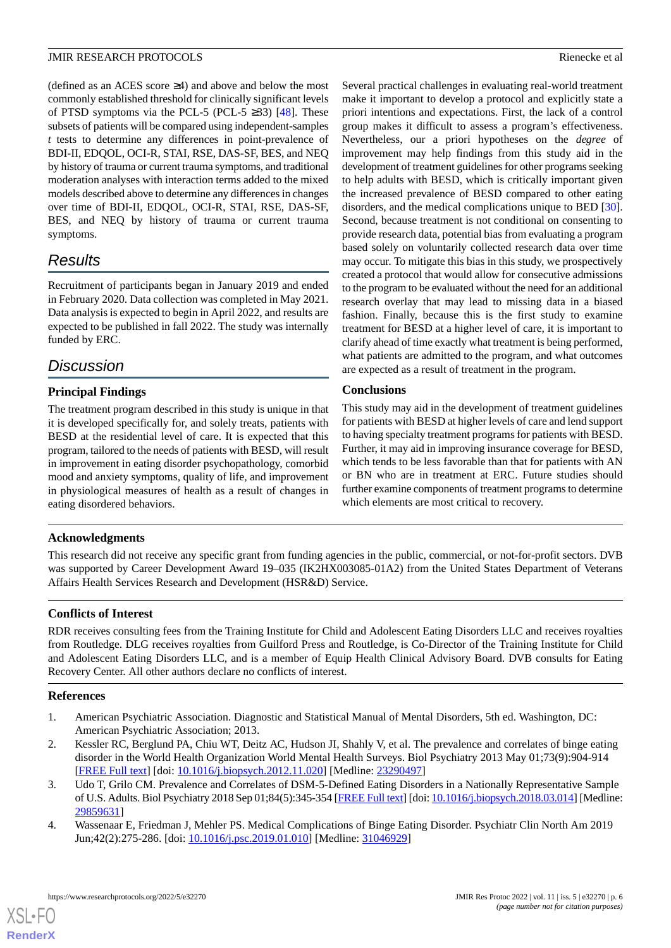(defined as an ACES score ≥4) and above and below the most commonly established threshold for clinically significant levels of PTSD symptoms via the PCL-5 (PCL-5  $\geq$ 33) [\[48](#page-7-19)]. These subsets of patients will be compared using independent-samples *t* tests to determine any differences in point-prevalence of BDI-II, EDQOL, OCI-R, STAI, RSE, DAS-SF, BES, and NEQ by history of trauma or current trauma symptoms, and traditional moderation analyses with interaction terms added to the mixed models described above to determine any differences in changes over time of BDI-II, EDQOL, OCI-R, STAI, RSE, DAS-SF, BES, and NEQ by history of trauma or current trauma symptoms.

# *Results*

Recruitment of participants began in January 2019 and ended in February 2020. Data collection was completed in May 2021. Data analysis is expected to begin in April 2022, and results are expected to be published in fall 2022. The study was internally funded by ERC.

# *Discussion*

# **Principal Findings**

The treatment program described in this study is unique in that it is developed specifically for, and solely treats, patients with BESD at the residential level of care. It is expected that this program, tailored to the needs of patients with BESD, will result in improvement in eating disorder psychopathology, comorbid mood and anxiety symptoms, quality of life, and improvement in physiological measures of health as a result of changes in eating disordered behaviors.

Several practical challenges in evaluating real-world treatment make it important to develop a protocol and explicitly state a priori intentions and expectations. First, the lack of a control group makes it difficult to assess a program's effectiveness. Nevertheless, our a priori hypotheses on the *degree* of improvement may help findings from this study aid in the development of treatment guidelines for other programs seeking to help adults with BESD, which is critically important given the increased prevalence of BESD compared to other eating disorders, and the medical complications unique to BED [[30\]](#page-7-1). Second, because treatment is not conditional on consenting to provide research data, potential bias from evaluating a program based solely on voluntarily collected research data over time may occur. To mitigate this bias in this study, we prospectively created a protocol that would allow for consecutive admissions to the program to be evaluated without the need for an additional research overlay that may lead to missing data in a biased fashion. Finally, because this is the first study to examine treatment for BESD at a higher level of care, it is important to clarify ahead of time exactly what treatment is being performed, what patients are admitted to the program, and what outcomes are expected as a result of treatment in the program.

# **Conclusions**

This study may aid in the development of treatment guidelines for patients with BESD at higher levels of care and lend support to having specialty treatment programs for patients with BESD. Further, it may aid in improving insurance coverage for BESD, which tends to be less favorable than that for patients with AN or BN who are in treatment at ERC. Future studies should further examine components of treatment programs to determine which elements are most critical to recovery.

# **Acknowledgments**

This research did not receive any specific grant from funding agencies in the public, commercial, or not-for-profit sectors. DVB was supported by Career Development Award 19–035 (IK2HX003085-01A2) from the United States Department of Veterans Affairs Health Services Research and Development (HSR&D) Service.

# **Conflicts of Interest**

<span id="page-5-0"></span>RDR receives consulting fees from the Training Institute for Child and Adolescent Eating Disorders LLC and receives royalties from Routledge. DLG receives royalties from Guilford Press and Routledge, is Co-Director of the Training Institute for Child and Adolescent Eating Disorders LLC, and is a member of Equip Health Clinical Advisory Board. DVB consults for Eating Recovery Center. All other authors declare no conflicts of interest.

# <span id="page-5-1"></span>**References**

[XSL](http://www.w3.org/Style/XSL)•FO **[RenderX](http://www.renderx.com/)**

- <span id="page-5-2"></span>1. American Psychiatric Association. Diagnostic and Statistical Manual of Mental Disorders, 5th ed. Washington, DC: American Psychiatric Association; 2013.
- <span id="page-5-3"></span>2. Kessler RC, Berglund PA, Chiu WT, Deitz AC, Hudson JI, Shahly V, et al. The prevalence and correlates of binge eating disorder in the World Health Organization World Mental Health Surveys. Biol Psychiatry 2013 May 01;73(9):904-914 [[FREE Full text](http://europepmc.org/abstract/MED/23290497)] [doi: [10.1016/j.biopsych.2012.11.020\]](http://dx.doi.org/10.1016/j.biopsych.2012.11.020) [Medline: [23290497](http://www.ncbi.nlm.nih.gov/entrez/query.fcgi?cmd=Retrieve&db=PubMed&list_uids=23290497&dopt=Abstract)]
- 3. Udo T, Grilo CM. Prevalence and Correlates of DSM-5-Defined Eating Disorders in a Nationally Representative Sample of U.S. Adults. Biol Psychiatry 2018 Sep 01;84(5):345-354 [[FREE Full text\]](http://europepmc.org/abstract/MED/29859631) [doi: [10.1016/j.biopsych.2018.03.014](http://dx.doi.org/10.1016/j.biopsych.2018.03.014)] [Medline: [29859631](http://www.ncbi.nlm.nih.gov/entrez/query.fcgi?cmd=Retrieve&db=PubMed&list_uids=29859631&dopt=Abstract)]
- 4. Wassenaar E, Friedman J, Mehler PS. Medical Complications of Binge Eating Disorder. Psychiatr Clin North Am 2019 Jun;42(2):275-286. [doi: [10.1016/j.psc.2019.01.010\]](http://dx.doi.org/10.1016/j.psc.2019.01.010) [Medline: [31046929\]](http://www.ncbi.nlm.nih.gov/entrez/query.fcgi?cmd=Retrieve&db=PubMed&list_uids=31046929&dopt=Abstract)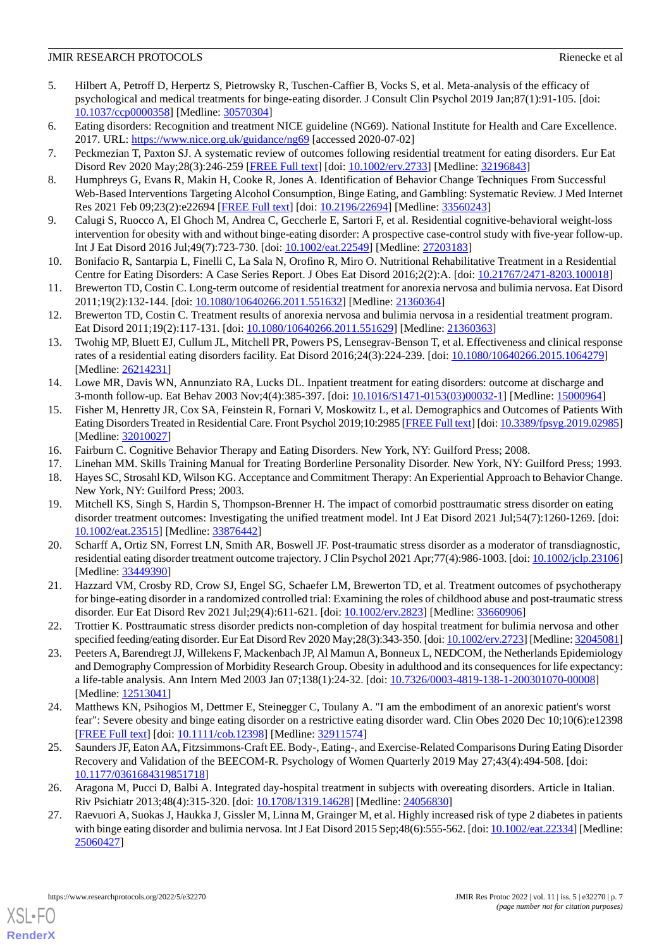#### **JMIR RESEARCH PROTOCOLS Rienecke et al. Rienecke et al. Rienecke et al. Rienecke et al. Rienecke et al. Rienecke et al. Rienecke et al. Rienecke et al. Rienecke et al. Rienecke et al. Rienecke et al.**

- <span id="page-6-0"></span>5. Hilbert A, Petroff D, Herpertz S, Pietrowsky R, Tuschen-Caffier B, Vocks S, et al. Meta-analysis of the efficacy of psychological and medical treatments for binge-eating disorder. J Consult Clin Psychol 2019 Jan;87(1):91-105. [doi: [10.1037/ccp0000358\]](http://dx.doi.org/10.1037/ccp0000358) [Medline: [30570304](http://www.ncbi.nlm.nih.gov/entrez/query.fcgi?cmd=Retrieve&db=PubMed&list_uids=30570304&dopt=Abstract)]
- <span id="page-6-2"></span><span id="page-6-1"></span>6. Eating disorders: Recognition and treatment NICE guideline (NG69). National Institute for Health and Care Excellence. 2017. URL: <https://www.nice.org.uk/guidance/ng69> [accessed 2020-07-02]
- <span id="page-6-3"></span>7. Peckmezian T, Paxton SJ. A systematic review of outcomes following residential treatment for eating disorders. Eur Eat Disord Rev 2020 May;28(3):246-259 [[FREE Full text](http://europepmc.org/abstract/MED/32196843)] [doi: [10.1002/erv.2733](http://dx.doi.org/10.1002/erv.2733)] [Medline: [32196843](http://www.ncbi.nlm.nih.gov/entrez/query.fcgi?cmd=Retrieve&db=PubMed&list_uids=32196843&dopt=Abstract)]
- <span id="page-6-4"></span>8. Humphreys G, Evans R, Makin H, Cooke R, Jones A. Identification of Behavior Change Techniques From Successful Web-Based Interventions Targeting Alcohol Consumption, Binge Eating, and Gambling: Systematic Review. J Med Internet Res 2021 Feb 09;23(2):e22694 [\[FREE Full text\]](https://www.jmir.org/2021/2/e22694/) [doi: [10.2196/22694](http://dx.doi.org/10.2196/22694)] [Medline: [33560243](http://www.ncbi.nlm.nih.gov/entrez/query.fcgi?cmd=Retrieve&db=PubMed&list_uids=33560243&dopt=Abstract)]
- <span id="page-6-5"></span>9. Calugi S, Ruocco A, El Ghoch M, Andrea C, Geccherle E, Sartori F, et al. Residential cognitive-behavioral weight-loss intervention for obesity with and without binge-eating disorder: A prospective case-control study with five-year follow-up. Int J Eat Disord 2016 Jul;49(7):723-730. [doi: [10.1002/eat.22549\]](http://dx.doi.org/10.1002/eat.22549) [Medline: [27203183](http://www.ncbi.nlm.nih.gov/entrez/query.fcgi?cmd=Retrieve&db=PubMed&list_uids=27203183&dopt=Abstract)]
- 10. Bonifacio R, Santarpia L, Finelli C, La Sala N, Orofino R, Miro O. Nutritional Rehabilitative Treatment in a Residential Centre for Eating Disorders: A Case Series Report. J Obes Eat Disord 2016;2(2):A. [doi: [10.21767/2471-8203.100018](http://dx.doi.org/10.21767/2471-8203.100018)]
- 11. Brewerton TD, Costin C. Long-term outcome of residential treatment for anorexia nervosa and bulimia nervosa. Eat Disord 2011;19(2):132-144. [doi: [10.1080/10640266.2011.551632\]](http://dx.doi.org/10.1080/10640266.2011.551632) [Medline: [21360364\]](http://www.ncbi.nlm.nih.gov/entrez/query.fcgi?cmd=Retrieve&db=PubMed&list_uids=21360364&dopt=Abstract)
- 12. Brewerton TD, Costin C. Treatment results of anorexia nervosa and bulimia nervosa in a residential treatment program. Eat Disord 2011;19(2):117-131. [doi: [10.1080/10640266.2011.551629](http://dx.doi.org/10.1080/10640266.2011.551629)] [Medline: [21360363](http://www.ncbi.nlm.nih.gov/entrez/query.fcgi?cmd=Retrieve&db=PubMed&list_uids=21360363&dopt=Abstract)]
- <span id="page-6-6"></span>13. Twohig MP, Bluett EJ, Cullum JL, Mitchell PR, Powers PS, Lensegrav-Benson T, et al. Effectiveness and clinical response rates of a residential eating disorders facility. Eat Disord 2016;24(3):224-239. [doi: [10.1080/10640266.2015.1064279](http://dx.doi.org/10.1080/10640266.2015.1064279)] [Medline: [26214231](http://www.ncbi.nlm.nih.gov/entrez/query.fcgi?cmd=Retrieve&db=PubMed&list_uids=26214231&dopt=Abstract)]
- <span id="page-6-7"></span>14. Lowe MR, Davis WN, Annunziato RA, Lucks DL. Inpatient treatment for eating disorders: outcome at discharge and 3-month follow-up. Eat Behav 2003 Nov;4(4):385-397. [doi: [10.1016/S1471-0153\(03\)00032-1](http://dx.doi.org/10.1016/S1471-0153(03)00032-1)] [Medline: [15000964](http://www.ncbi.nlm.nih.gov/entrez/query.fcgi?cmd=Retrieve&db=PubMed&list_uids=15000964&dopt=Abstract)]
- <span id="page-6-10"></span><span id="page-6-9"></span><span id="page-6-8"></span>15. Fisher M, Henretty JR, Cox SA, Feinstein R, Fornari V, Moskowitz L, et al. Demographics and Outcomes of Patients With Eating Disorders Treated in Residential Care. Front Psychol 2019;10:2985 [\[FREE Full text](https://doi.org/10.3389/fpsyg.2019.02985)] [doi: [10.3389/fpsyg.2019.02985](http://dx.doi.org/10.3389/fpsyg.2019.02985)] [Medline: [32010027](http://www.ncbi.nlm.nih.gov/entrez/query.fcgi?cmd=Retrieve&db=PubMed&list_uids=32010027&dopt=Abstract)]
- <span id="page-6-11"></span>16. Fairburn C. Cognitive Behavior Therapy and Eating Disorders. New York, NY: Guilford Press; 2008.
- 17. Linehan MM. Skills Training Manual for Treating Borderline Personality Disorder. New York, NY: Guilford Press; 1993.
- <span id="page-6-12"></span>18. Hayes SC, Strosahl KD, Wilson KG. Acceptance and Commitment Therapy: An Experiential Approach to Behavior Change. New York, NY: Guilford Press; 2003.
- 19. Mitchell KS, Singh S, Hardin S, Thompson-Brenner H. The impact of comorbid posttraumatic stress disorder on eating disorder treatment outcomes: Investigating the unified treatment model. Int J Eat Disord 2021 Jul;54(7):1260-1269. [doi: [10.1002/eat.23515\]](http://dx.doi.org/10.1002/eat.23515) [Medline: [33876442\]](http://www.ncbi.nlm.nih.gov/entrez/query.fcgi?cmd=Retrieve&db=PubMed&list_uids=33876442&dopt=Abstract)
- <span id="page-6-14"></span><span id="page-6-13"></span>20. Scharff A, Ortiz SN, Forrest LN, Smith AR, Boswell JF. Post-traumatic stress disorder as a moderator of transdiagnostic, residential eating disorder treatment outcome trajectory. J Clin Psychol 2021 Apr;77(4):986-1003. [doi: [10.1002/jclp.23106\]](http://dx.doi.org/10.1002/jclp.23106) [Medline: [33449390](http://www.ncbi.nlm.nih.gov/entrez/query.fcgi?cmd=Retrieve&db=PubMed&list_uids=33449390&dopt=Abstract)]
- <span id="page-6-15"></span>21. Hazzard VM, Crosby RD, Crow SJ, Engel SG, Schaefer LM, Brewerton TD, et al. Treatment outcomes of psychotherapy for binge-eating disorder in a randomized controlled trial: Examining the roles of childhood abuse and post-traumatic stress disorder. Eur Eat Disord Rev 2021 Jul;29(4):611-621. [doi: [10.1002/erv.2823\]](http://dx.doi.org/10.1002/erv.2823) [Medline: [33660906](http://www.ncbi.nlm.nih.gov/entrez/query.fcgi?cmd=Retrieve&db=PubMed&list_uids=33660906&dopt=Abstract)]
- <span id="page-6-16"></span>22. Trottier K. Posttraumatic stress disorder predicts non-completion of day hospital treatment for bulimia nervosa and other specified feeding/eating disorder. Eur Eat Disord Rev 2020 May;28(3):343-350. [doi: [10.1002/erv.2723\]](http://dx.doi.org/10.1002/erv.2723) [Medline: [32045081\]](http://www.ncbi.nlm.nih.gov/entrez/query.fcgi?cmd=Retrieve&db=PubMed&list_uids=32045081&dopt=Abstract)
- <span id="page-6-17"></span>23. Peeters A, Barendregt JJ, Willekens F, Mackenbach JP, Al Mamun A, Bonneux L, NEDCOM, the Netherlands Epidemiology and Demography Compression of Morbidity Research Group. Obesity in adulthood and its consequences for life expectancy: a life-table analysis. Ann Intern Med 2003 Jan 07;138(1):24-32. [doi: [10.7326/0003-4819-138-1-200301070-00008](http://dx.doi.org/10.7326/0003-4819-138-1-200301070-00008)] [Medline: [12513041](http://www.ncbi.nlm.nih.gov/entrez/query.fcgi?cmd=Retrieve&db=PubMed&list_uids=12513041&dopt=Abstract)]
- <span id="page-6-18"></span>24. Matthews KN, Psihogios M, Dettmer E, Steinegger C, Toulany A. "I am the embodiment of an anorexic patient's worst fear": Severe obesity and binge eating disorder on a restrictive eating disorder ward. Clin Obes 2020 Dec 10;10(6):e12398 [[FREE Full text](http://europepmc.org/abstract/MED/32911574)] [doi: [10.1111/cob.12398](http://dx.doi.org/10.1111/cob.12398)] [Medline: [32911574](http://www.ncbi.nlm.nih.gov/entrez/query.fcgi?cmd=Retrieve&db=PubMed&list_uids=32911574&dopt=Abstract)]
- <span id="page-6-19"></span>25. Saunders JF, Eaton AA, Fitzsimmons-Craft EE. Body-, Eating-, and Exercise-Related Comparisons During Eating Disorder Recovery and Validation of the BEECOM-R. Psychology of Women Quarterly 2019 May 27;43(4):494-508. [doi: [10.1177/0361684319851718\]](http://dx.doi.org/10.1177/0361684319851718)
- 26. Aragona M, Pucci D, Balbi A. Integrated day-hospital treatment in subjects with overeating disorders. Article in Italian. Riv Psichiatr 2013;48(4):315-320. [doi: [10.1708/1319.14628](http://dx.doi.org/10.1708/1319.14628)] [Medline: [24056830](http://www.ncbi.nlm.nih.gov/entrez/query.fcgi?cmd=Retrieve&db=PubMed&list_uids=24056830&dopt=Abstract)]
- 27. Raevuori A, Suokas J, Haukka J, Gissler M, Linna M, Grainger M, et al. Highly increased risk of type 2 diabetes in patients with binge eating disorder and bulimia nervosa. Int J Eat Disord 2015 Sep;48(6):555-562. [doi: [10.1002/eat.22334\]](http://dx.doi.org/10.1002/eat.22334) [Medline: [25060427](http://www.ncbi.nlm.nih.gov/entrez/query.fcgi?cmd=Retrieve&db=PubMed&list_uids=25060427&dopt=Abstract)]

[XSL](http://www.w3.org/Style/XSL)•FO **[RenderX](http://www.renderx.com/)**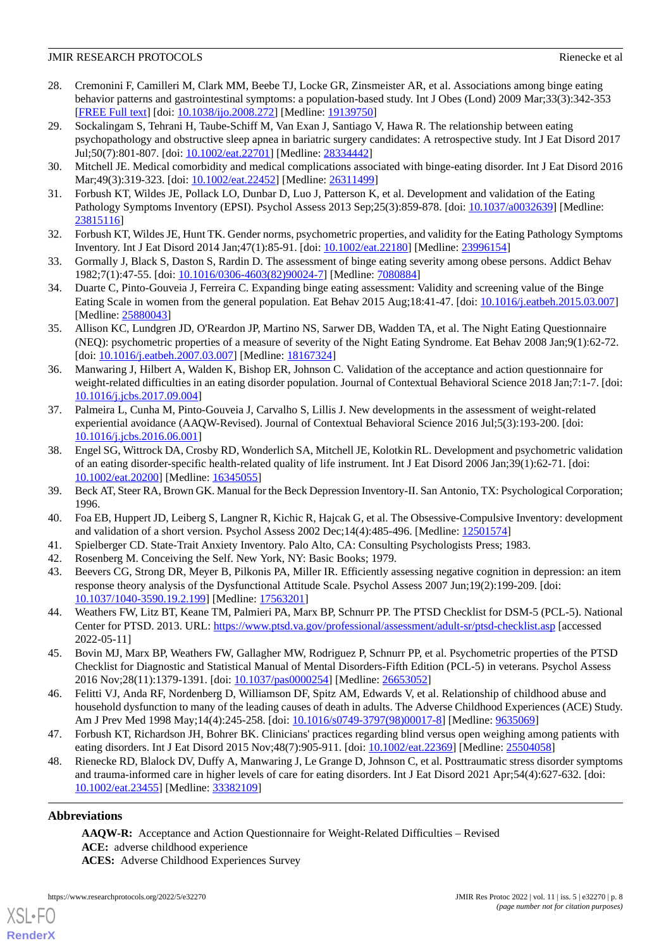### **JMIR RESEARCH PROTOCOLS Rienecke et al. Rienecke et al. Rienecke et al. Rienecke et al. Rienecke et al. Rienecke et al. Rienecke et al. Rienecke et al. Rienecke et al. Rienecke et al. Rienecke et al.**

- <span id="page-7-0"></span>28. Cremonini F, Camilleri M, Clark MM, Beebe TJ, Locke GR, Zinsmeister AR, et al. Associations among binge eating behavior patterns and gastrointestinal symptoms: a population-based study. Int J Obes (Lond) 2009 Mar;33(3):342-353 [[FREE Full text](http://europepmc.org/abstract/MED/19139750)] [doi: [10.1038/ijo.2008.272](http://dx.doi.org/10.1038/ijo.2008.272)] [Medline: [19139750](http://www.ncbi.nlm.nih.gov/entrez/query.fcgi?cmd=Retrieve&db=PubMed&list_uids=19139750&dopt=Abstract)]
- 29. Sockalingam S, Tehrani H, Taube-Schiff M, Van Exan J, Santiago V, Hawa R. The relationship between eating psychopathology and obstructive sleep apnea in bariatric surgery candidates: A retrospective study. Int J Eat Disord 2017 Jul;50(7):801-807. [doi: [10.1002/eat.22701\]](http://dx.doi.org/10.1002/eat.22701) [Medline: [28334442](http://www.ncbi.nlm.nih.gov/entrez/query.fcgi?cmd=Retrieve&db=PubMed&list_uids=28334442&dopt=Abstract)]
- <span id="page-7-2"></span><span id="page-7-1"></span>30. Mitchell JE. Medical comorbidity and medical complications associated with binge-eating disorder. Int J Eat Disord 2016 Mar;49(3):319-323. [doi: [10.1002/eat.22452\]](http://dx.doi.org/10.1002/eat.22452) [Medline: [26311499](http://www.ncbi.nlm.nih.gov/entrez/query.fcgi?cmd=Retrieve&db=PubMed&list_uids=26311499&dopt=Abstract)]
- <span id="page-7-3"></span>31. Forbush KT, Wildes JE, Pollack LO, Dunbar D, Luo J, Patterson K, et al. Development and validation of the Eating Pathology Symptoms Inventory (EPSI). Psychol Assess 2013 Sep;25(3):859-878. [doi: [10.1037/a0032639\]](http://dx.doi.org/10.1037/a0032639) [Medline: [23815116](http://www.ncbi.nlm.nih.gov/entrez/query.fcgi?cmd=Retrieve&db=PubMed&list_uids=23815116&dopt=Abstract)]
- <span id="page-7-4"></span>32. Forbush KT, Wildes JE, Hunt TK. Gender norms, psychometric properties, and validity for the Eating Pathology Symptoms Inventory. Int J Eat Disord 2014 Jan;47(1):85-91. [doi: [10.1002/eat.22180\]](http://dx.doi.org/10.1002/eat.22180) [Medline: [23996154\]](http://www.ncbi.nlm.nih.gov/entrez/query.fcgi?cmd=Retrieve&db=PubMed&list_uids=23996154&dopt=Abstract)
- <span id="page-7-5"></span>33. Gormally J, Black S, Daston S, Rardin D. The assessment of binge eating severity among obese persons. Addict Behav 1982;7(1):47-55. [doi: [10.1016/0306-4603\(82\)90024-7](http://dx.doi.org/10.1016/0306-4603(82)90024-7)] [Medline: [7080884\]](http://www.ncbi.nlm.nih.gov/entrez/query.fcgi?cmd=Retrieve&db=PubMed&list_uids=7080884&dopt=Abstract)
- <span id="page-7-6"></span>34. Duarte C, Pinto-Gouveia J, Ferreira C. Expanding binge eating assessment: Validity and screening value of the Binge Eating Scale in women from the general population. Eat Behav 2015 Aug;18:41-47. [doi: [10.1016/j.eatbeh.2015.03.007\]](http://dx.doi.org/10.1016/j.eatbeh.2015.03.007) [Medline: [25880043](http://www.ncbi.nlm.nih.gov/entrez/query.fcgi?cmd=Retrieve&db=PubMed&list_uids=25880043&dopt=Abstract)]
- <span id="page-7-7"></span>35. Allison KC, Lundgren JD, O'Reardon JP, Martino NS, Sarwer DB, Wadden TA, et al. The Night Eating Questionnaire (NEQ): psychometric properties of a measure of severity of the Night Eating Syndrome. Eat Behav 2008 Jan;9(1):62-72. [doi: [10.1016/j.eatbeh.2007.03.007](http://dx.doi.org/10.1016/j.eatbeh.2007.03.007)] [Medline: [18167324\]](http://www.ncbi.nlm.nih.gov/entrez/query.fcgi?cmd=Retrieve&db=PubMed&list_uids=18167324&dopt=Abstract)
- <span id="page-7-8"></span>36. Manwaring J, Hilbert A, Walden K, Bishop ER, Johnson C. Validation of the acceptance and action questionnaire for weight-related difficulties in an eating disorder population. Journal of Contextual Behavioral Science 2018 Jan;7:1-7. [doi: [10.1016/j.jcbs.2017.09.004\]](http://dx.doi.org/10.1016/j.jcbs.2017.09.004)
- <span id="page-7-9"></span>37. Palmeira L, Cunha M, Pinto-Gouveia J, Carvalho S, Lillis J. New developments in the assessment of weight-related experiential avoidance (AAQW-Revised). Journal of Contextual Behavioral Science 2016 Jul;5(3):193-200. [doi: [10.1016/j.jcbs.2016.06.001\]](http://dx.doi.org/10.1016/j.jcbs.2016.06.001)
- <span id="page-7-11"></span><span id="page-7-10"></span>38. Engel SG, Wittrock DA, Crosby RD, Wonderlich SA, Mitchell JE, Kolotkin RL. Development and psychometric validation of an eating disorder-specific health-related quality of life instrument. Int J Eat Disord 2006 Jan;39(1):62-71. [doi: [10.1002/eat.20200\]](http://dx.doi.org/10.1002/eat.20200) [Medline: [16345055\]](http://www.ncbi.nlm.nih.gov/entrez/query.fcgi?cmd=Retrieve&db=PubMed&list_uids=16345055&dopt=Abstract)
- <span id="page-7-13"></span><span id="page-7-12"></span>39. Beck AT, Steer RA, Brown GK. Manual for the Beck Depression Inventory-II. San Antonio, TX: Psychological Corporation; 1996.
- <span id="page-7-14"></span>40. Foa EB, Huppert JD, Leiberg S, Langner R, Kichic R, Hajcak G, et al. The Obsessive-Compulsive Inventory: development and validation of a short version. Psychol Assess 2002 Dec;14(4):485-496. [Medline: [12501574](http://www.ncbi.nlm.nih.gov/entrez/query.fcgi?cmd=Retrieve&db=PubMed&list_uids=12501574&dopt=Abstract)]
- 41. Spielberger CD. State-Trait Anxiety Inventory. Palo Alto, CA: Consulting Psychologists Press; 1983.
- <span id="page-7-15"></span>42. Rosenberg M. Conceiving the Self. New York, NY: Basic Books; 1979.
- <span id="page-7-16"></span>43. Beevers CG, Strong DR, Meyer B, Pilkonis PA, Miller IR. Efficiently assessing negative cognition in depression: an item response theory analysis of the Dysfunctional Attitude Scale. Psychol Assess 2007 Jun;19(2):199-209. [doi: [10.1037/1040-3590.19.2.199\]](http://dx.doi.org/10.1037/1040-3590.19.2.199) [Medline: [17563201](http://www.ncbi.nlm.nih.gov/entrez/query.fcgi?cmd=Retrieve&db=PubMed&list_uids=17563201&dopt=Abstract)]
- <span id="page-7-17"></span>44. Weathers FW, Litz BT, Keane TM, Palmieri PA, Marx BP, Schnurr PP. The PTSD Checklist for DSM-5 (PCL-5). National Center for PTSD. 2013. URL: <https://www.ptsd.va.gov/professional/assessment/adult-sr/ptsd-checklist.asp> [accessed 2022-05-11]
- <span id="page-7-18"></span>45. Bovin MJ, Marx BP, Weathers FW, Gallagher MW, Rodriguez P, Schnurr PP, et al. Psychometric properties of the PTSD Checklist for Diagnostic and Statistical Manual of Mental Disorders-Fifth Edition (PCL-5) in veterans. Psychol Assess 2016 Nov;28(11):1379-1391. [doi: [10.1037/pas0000254\]](http://dx.doi.org/10.1037/pas0000254) [Medline: [26653052](http://www.ncbi.nlm.nih.gov/entrez/query.fcgi?cmd=Retrieve&db=PubMed&list_uids=26653052&dopt=Abstract)]
- <span id="page-7-19"></span>46. Felitti VJ, Anda RF, Nordenberg D, Williamson DF, Spitz AM, Edwards V, et al. Relationship of childhood abuse and household dysfunction to many of the leading causes of death in adults. The Adverse Childhood Experiences (ACE) Study. Am J Prev Med 1998 May;14(4):245-258. [doi: [10.1016/s0749-3797\(98\)00017-8](http://dx.doi.org/10.1016/s0749-3797(98)00017-8)] [Medline: [9635069\]](http://www.ncbi.nlm.nih.gov/entrez/query.fcgi?cmd=Retrieve&db=PubMed&list_uids=9635069&dopt=Abstract)
- 47. Forbush KT, Richardson JH, Bohrer BK. Clinicians' practices regarding blind versus open weighing among patients with eating disorders. Int J Eat Disord 2015 Nov;48(7):905-911. [doi: [10.1002/eat.22369\]](http://dx.doi.org/10.1002/eat.22369) [Medline: [25504058](http://www.ncbi.nlm.nih.gov/entrez/query.fcgi?cmd=Retrieve&db=PubMed&list_uids=25504058&dopt=Abstract)]
- 48. Rienecke RD, Blalock DV, Duffy A, Manwaring J, Le Grange D, Johnson C, et al. Posttraumatic stress disorder symptoms and trauma-informed care in higher levels of care for eating disorders. Int J Eat Disord 2021 Apr;54(4):627-632. [doi: [10.1002/eat.23455\]](http://dx.doi.org/10.1002/eat.23455) [Medline: [33382109\]](http://www.ncbi.nlm.nih.gov/entrez/query.fcgi?cmd=Retrieve&db=PubMed&list_uids=33382109&dopt=Abstract)

# **Abbreviations**

[XSL](http://www.w3.org/Style/XSL)•FO **[RenderX](http://www.renderx.com/)**

**AAQW-R:** Acceptance and Action Questionnaire for Weight-Related Difficulties – Revised **ACE:** adverse childhood experience **ACES:** Adverse Childhood Experiences Survey